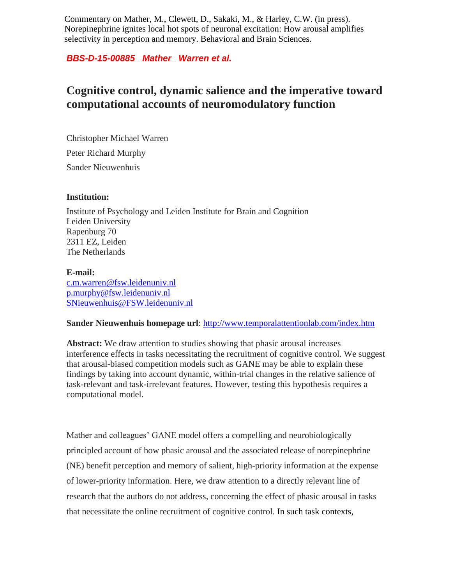Commentary on Mather, M., Clewett, D., Sakaki, M., & Harley, C.W. (in press). Norepinephrine ignites local hot spots of neuronal excitation: How arousal amplifies selectivity in perception and memory. Behavioral and Brain Sciences.

## *BBS-D-15-00885\_ Mather\_ Warren et al.*

# **Cognitive control, dynamic salience and the imperative toward computational accounts of neuromodulatory function**

Christopher Michael Warren Peter Richard Murphy Sander Nieuwenhuis

### **Institution:**

Institute of Psychology and Leiden Institute for Brain and Cognition Leiden University Rapenburg 70 2311 EZ, Leiden The Netherlands

#### **E-mail:**

[c.m.warren@fsw.leidenuniv.nl](mailto:c.m.warren@fsw.leidenuniv.nl) [p.murphy@fsw.leidenuniv.nl](mailto:p.murphy@fsw.leidenuniv.nl) [SNieuwenhuis@FSW.leidenuniv.nl](mailto:SNieuwenhuis@FSW.leidenuniv.nl)

#### **Sander Nieuwenhuis homepage url**:<http://www.temporalattentionlab.com/index.htm>

Abstract: We draw attention to studies showing that phasic arousal increases interference effects in tasks necessitating the recruitment of cognitive control. We suggest that arousal-biased competition models such as GANE may be able to explain these findings by taking into account dynamic, within-trial changes in the relative salience of task-relevant and task-irrelevant features. However, testing this hypothesis requires a computational model.

Mather and colleagues' GANE model offers a compelling and neurobiologically principled account of how phasic arousal and the associated release of norepinephrine (NE) benefit perception and memory of salient, high-priority information at the expense of lower-priority information. Here, we draw attention to a directly relevant line of research that the authors do not address, concerning the effect of phasic arousal in tasks that necessitate the online recruitment of cognitive control. In such task contexts,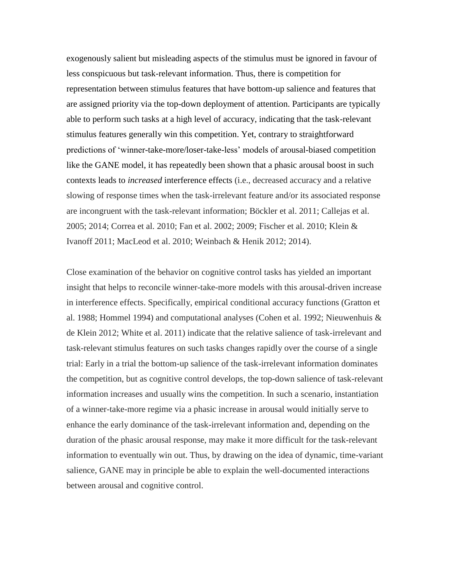exogenously salient but misleading aspects of the stimulus must be ignored in favour of less conspicuous but task-relevant information. Thus, there is competition for representation between stimulus features that have bottom-up salience and features that are assigned priority via the top-down deployment of attention. Participants are typically able to perform such tasks at a high level of accuracy, indicating that the task-relevant stimulus features generally win this competition. Yet, contrary to straightforward predictions of 'winner-take-more/loser-take-less' models of arousal-biased competition like the GANE model, it has repeatedly been shown that a phasic arousal boost in such contexts leads to *increased* interference effects (i.e., decreased accuracy and a relative slowing of response times when the task-irrelevant feature and/or its associated response are incongruent with the task-relevant information; Böckler et al. 2011; Callejas et al. 2005; 2014; Correa et al. 2010; Fan et al. 2002; 2009; Fischer et al. 2010; Klein & Ivanoff 2011; MacLeod et al. 2010; Weinbach & Henik 2012; 2014).

Close examination of the behavior on cognitive control tasks has yielded an important insight that helps to reconcile winner-take-more models with this arousal-driven increase in interference effects. Specifically, empirical conditional accuracy functions (Gratton et al. 1988; Hommel 1994) and computational analyses (Cohen et al. 1992; Nieuwenhuis & de Klein 2012; White et al. 2011) indicate that the relative salience of task-irrelevant and task-relevant stimulus features on such tasks changes rapidly over the course of a single trial: Early in a trial the bottom-up salience of the task-irrelevant information dominates the competition, but as cognitive control develops, the top-down salience of task-relevant information increases and usually wins the competition. In such a scenario, instantiation of a winner-take-more regime via a phasic increase in arousal would initially serve to enhance the early dominance of the task-irrelevant information and, depending on the duration of the phasic arousal response, may make it more difficult for the task-relevant information to eventually win out. Thus, by drawing on the idea of dynamic, time-variant salience, GANE may in principle be able to explain the well-documented interactions between arousal and cognitive control.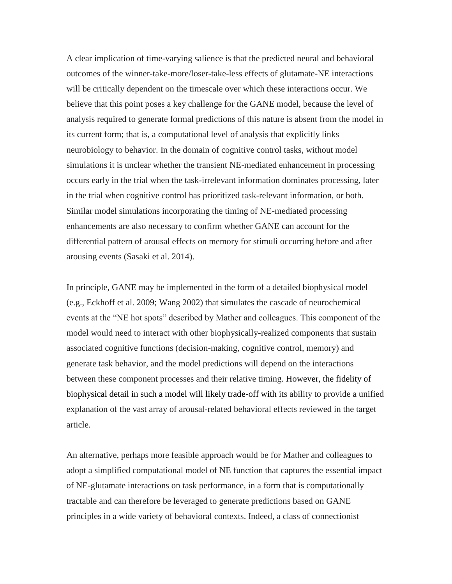A clear implication of time-varying salience is that the predicted neural and behavioral outcomes of the winner-take-more/loser-take-less effects of glutamate-NE interactions will be critically dependent on the timescale over which these interactions occur. We believe that this point poses a key challenge for the GANE model, because the level of analysis required to generate formal predictions of this nature is absent from the model in its current form; that is, a computational level of analysis that explicitly links neurobiology to behavior. In the domain of cognitive control tasks, without model simulations it is unclear whether the transient NE-mediated enhancement in processing occurs early in the trial when the task-irrelevant information dominates processing, later in the trial when cognitive control has prioritized task-relevant information, or both. Similar model simulations incorporating the timing of NE-mediated processing enhancements are also necessary to confirm whether GANE can account for the differential pattern of arousal effects on memory for stimuli occurring before and after arousing events (Sasaki et al. 2014).

In principle, GANE may be implemented in the form of a detailed biophysical model (e.g., Eckhoff et al. 2009; Wang 2002) that simulates the cascade of neurochemical events at the "NE hot spots" described by Mather and colleagues. This component of the model would need to interact with other biophysically-realized components that sustain associated cognitive functions (decision-making, cognitive control, memory) and generate task behavior, and the model predictions will depend on the interactions between these component processes and their relative timing. However, the fidelity of biophysical detail in such a model will likely trade-off with its ability to provide a unified explanation of the vast array of arousal-related behavioral effects reviewed in the target article.

An alternative, perhaps more feasible approach would be for Mather and colleagues to adopt a simplified computational model of NE function that captures the essential impact of NE-glutamate interactions on task performance, in a form that is computationally tractable and can therefore be leveraged to generate predictions based on GANE principles in a wide variety of behavioral contexts. Indeed, a class of connectionist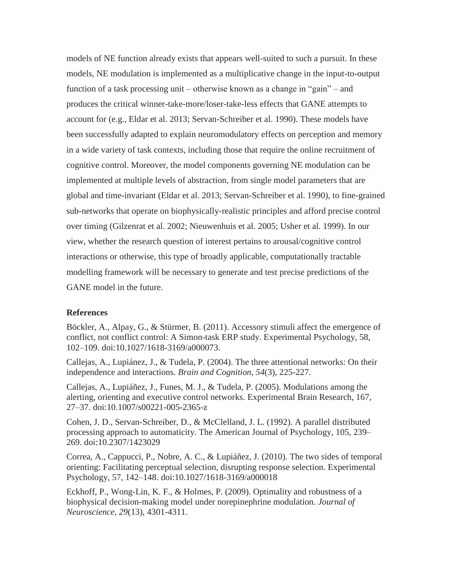models of NE function already exists that appears well-suited to such a pursuit. In these models, NE modulation is implemented as a multiplicative change in the input-to-output function of a task processing unit – otherwise known as a change in "gain" – and produces the critical winner-take-more/loser-take-less effects that GANE attempts to account for (e.g., Eldar et al. 2013; Servan-Schreiber et al. 1990). These models have been successfully adapted to explain neuromodulatory effects on perception and memory in a wide variety of task contexts, including those that require the online recruitment of cognitive control. Moreover, the model components governing NE modulation can be implemented at multiple levels of abstraction, from single model parameters that are global and time-invariant (Eldar et al. 2013; Servan-Schreiber et al. 1990), to fine-grained sub-networks that operate on biophysically-realistic principles and afford precise control over timing (Gilzenrat et al. 2002; Nieuwenhuis et al. 2005; Usher et al. 1999). In our view, whether the research question of interest pertains to arousal/cognitive control interactions or otherwise, this type of broadly applicable, computationally tractable modelling framework will be necessary to generate and test precise predictions of the GANE model in the future.

#### **References**

Böckler, A., Alpay, G., & Stürmer, B. (2011). Accessory stimuli affect the emergence of conflict, not conflict control: A Simon-task ERP study. Experimental Psychology, 58, 102–109. doi:10.1027/1618-3169/a000073.

Callejas, A., Lupiánez, J., & Tudela, P. (2004). The three attentional networks: On their independence and interactions. *Brain and Cognition*, *54*(3), 225-227.

Callejas, A., Lupiáñez, J., Funes, M. J., & Tudela, P. (2005). Modulations among the alerting, orienting and executive control networks. Experimental Brain Research, 167, 27–37. doi:10.1007/s00221-005-2365-z

Cohen, J. D., Servan-Schreiber, D., & McClelland, J. L. (1992). A parallel distributed processing approach to automaticity. The American Journal of Psychology, 105, 239– 269. doi:10.2307/1423029

Correa, A., Cappucci, P., Nobre, A. C., & Lupiáñez, J. (2010). The two sides of temporal orienting: Facilitating perceptual selection, disrupting response selection. Experimental Psychology, 57, 142–148. doi:10.1027/1618-3169/a000018

Eckhoff, P., Wong-Lin, K. F., & Holmes, P. (2009). Optimality and robustness of a biophysical decision-making model under norepinephrine modulation. *Journal of Neuroscience, 29*(13), 4301-4311.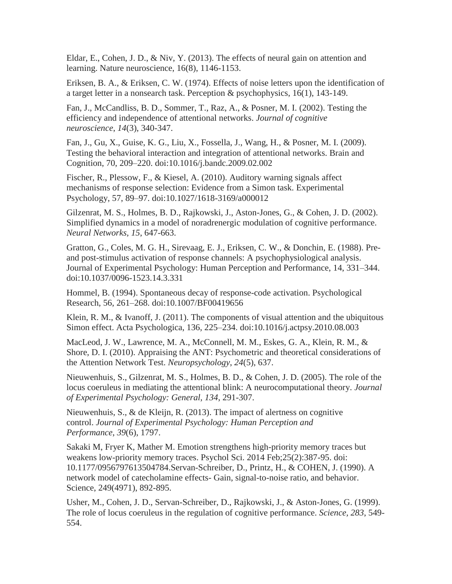Eldar, E., Cohen, J. D., & Niv, Y. (2013). The effects of neural gain on attention and learning. Nature neuroscience, 16(8), 1146-1153.

Eriksen, B. A., & Eriksen, C. W. (1974). Effects of noise letters upon the identification of a target letter in a nonsearch task. Perception & psychophysics, 16(1), 143-149.

Fan, J., McCandliss, B. D., Sommer, T., Raz, A., & Posner, M. I. (2002). Testing the efficiency and independence of attentional networks. *Journal of cognitive neuroscience*, *14*(3), 340-347.

Fan, J., Gu, X., Guise, K. G., Liu, X., Fossella, J., Wang, H., & Posner, M. I. (2009). Testing the behavioral interaction and integration of attentional networks. Brain and Cognition, 70, 209–220. doi:10.1016/j.bandc.2009.02.002

Fischer, R., Plessow, F., & Kiesel, A. (2010). Auditory warning signals affect mechanisms of response selection: Evidence from a Simon task. Experimental Psychology, 57, 89–97. doi:10.1027/1618-3169/a000012

Gilzenrat, M. S., Holmes, B. D., Rajkowski, J., Aston-Jones, G., & Cohen, J. D. (2002). Simplified dynamics in a model of noradrenergic modulation of cognitive performance. *Neural Networks, 15*, 647-663.

Gratton, G., Coles, M. G. H., Sirevaag, E. J., Eriksen, C. W., & Donchin, E. (1988). Preand post-stimulus activation of response channels: A psychophysiological analysis. Journal of Experimental Psychology: Human Perception and Performance, 14, 331–344. doi:10.1037/0096-1523.14.3.331

Hommel, B. (1994). Spontaneous decay of response-code activation. Psychological Research, 56, 261–268. doi:10.1007/BF00419656

Klein, R. M., & Ivanoff, J. (2011). The components of visual attention and the ubiquitous Simon effect. Acta Psychologica, 136, 225–234. doi:10.1016/j.actpsy.2010.08.003

MacLeod, J. W., Lawrence, M. A., McConnell, M. M., Eskes, G. A., Klein, R. M., & Shore, D. I. (2010). Appraising the ANT: Psychometric and theoretical considerations of the Attention Network Test. *Neuropsychology*, *24*(5), 637.

Nieuwenhuis, S., Gilzenrat, M. S., Holmes, B. D., & Cohen, J. D. (2005). The role of the locus coeruleus in mediating the attentional blink: A neurocomputational theory. *Journal of Experimental Psychology: General, 134*, 291-307.

Nieuwenhuis, S., & de Kleijn, R. (2013). The impact of alertness on cognitive control. *Journal of Experimental Psychology: Human Perception and Performance*, *39*(6), 1797.

Sakaki M, Fryer K, Mather M. Emotion strengthens high-priority memory traces but weakens low-priority memory traces. Psychol Sci. 2014 Feb;25(2):387-95. doi: 10.1177/0956797613504784.Servan-Schreiber, D., Printz, H., & COHEN, J. (1990). A network model of catecholamine effects- Gain, signal-to-noise ratio, and behavior. Science, 249(4971), 892-895.

Usher, M., Cohen, J. D., Servan-Schreiber, D., Rajkowski, J., & Aston-Jones, G. (1999). The role of locus coeruleus in the regulation of cognitive performance. *Science, 283*, 549- 554.